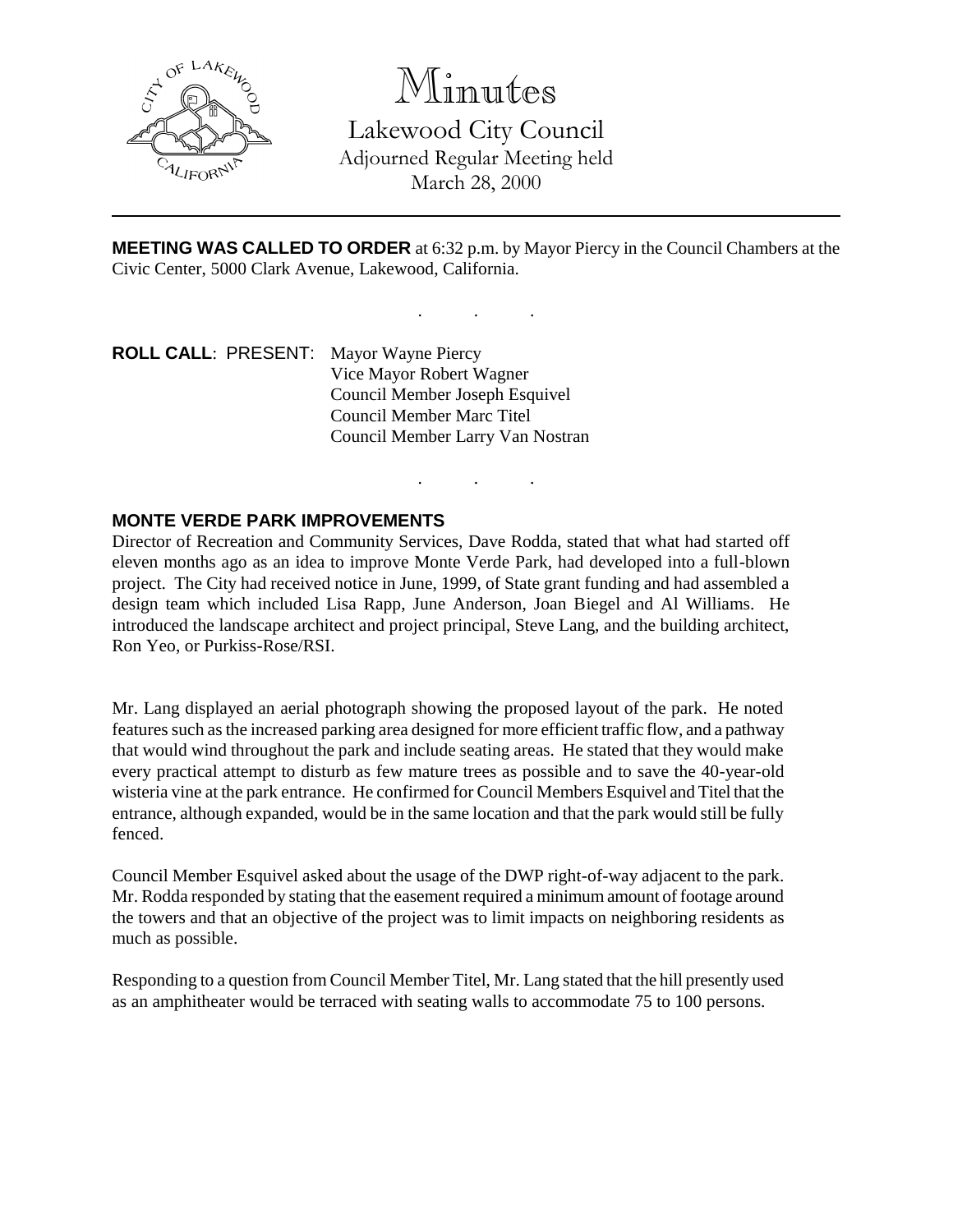

Minutes

Lakewood City Council Adjourned Regular Meeting held March 28, 2000

**MEETING WAS CALLED TO ORDER** at 6:32 p.m. by Mayor Piercy in the Council Chambers at the Civic Center, 5000 Clark Avenue, Lakewood, California.

. . .

. . .

**ROLL CALL**: PRESENT: Mayor Wayne Piercy Vice Mayor Robert Wagner Council Member Joseph Esquivel Council Member Marc Titel Council Member Larry Van Nostran

# **MONTE VERDE PARK IMPROVEMENTS**

Director of Recreation and Community Services, Dave Rodda, stated that what had started off eleven months ago as an idea to improve Monte Verde Park, had developed into a full-blown project. The City had received notice in June, 1999, of State grant funding and had assembled a design team which included Lisa Rapp, June Anderson, Joan Biegel and Al Williams. He introduced the landscape architect and project principal, Steve Lang, and the building architect, Ron Yeo, or Purkiss-Rose/RSI.

Mr. Lang displayed an aerial photograph showing the proposed layout of the park. He noted features such as the increased parking area designed for more efficient traffic flow, and a pathway that would wind throughout the park and include seating areas. He stated that they would make every practical attempt to disturb as few mature trees as possible and to save the 40-year-old wisteria vine at the park entrance. He confirmed for Council Members Esquivel and Titel that the entrance, although expanded, would be in the same location and that the park would still be fully fenced.

Council Member Esquivel asked about the usage of the DWP right-of-way adjacent to the park. Mr. Rodda responded by stating that the easement required a minimum amount of footage around the towers and that an objective of the project was to limit impacts on neighboring residents as much as possible.

Responding to a question from Council Member Titel, Mr. Lang stated that the hill presently used as an amphitheater would be terraced with seating walls to accommodate 75 to 100 persons.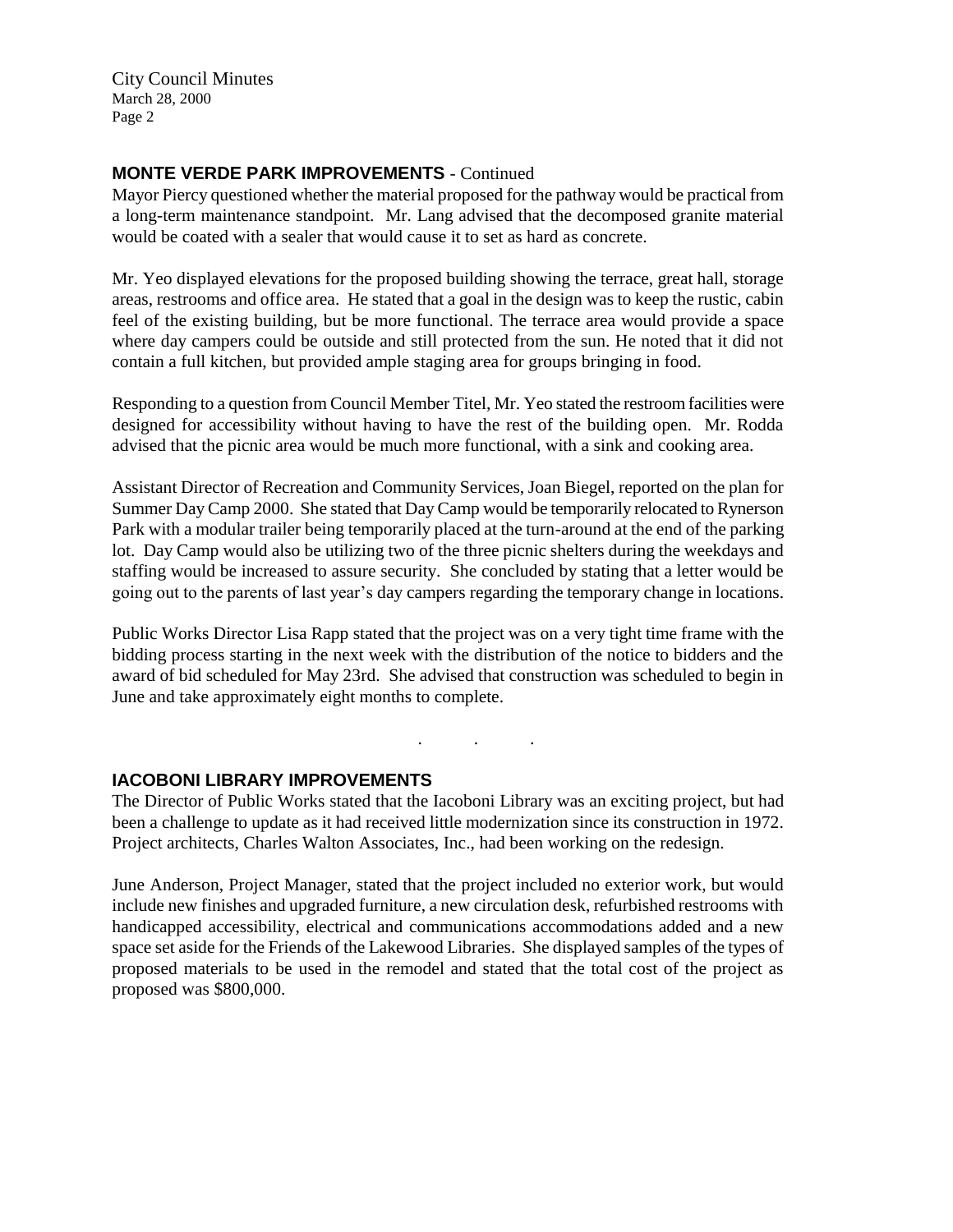City Council Minutes March 28, 2000 Page 2

# **MONTE VERDE PARK IMPROVEMENTS** - Continued

Mayor Piercy questioned whether the material proposed for the pathway would be practical from a long-term maintenance standpoint. Mr. Lang advised that the decomposed granite material would be coated with a sealer that would cause it to set as hard as concrete.

Mr. Yeo displayed elevations for the proposed building showing the terrace, great hall, storage areas, restrooms and office area. He stated that a goal in the design was to keep the rustic, cabin feel of the existing building, but be more functional. The terrace area would provide a space where day campers could be outside and still protected from the sun. He noted that it did not contain a full kitchen, but provided ample staging area for groups bringing in food.

Responding to a question from Council Member Titel, Mr. Yeo stated the restroom facilities were designed for accessibility without having to have the rest of the building open. Mr. Rodda advised that the picnic area would be much more functional, with a sink and cooking area.

Assistant Director of Recreation and Community Services, Joan Biegel, reported on the plan for Summer Day Camp 2000. She stated that Day Camp would be temporarily relocated to Rynerson Park with a modular trailer being temporarily placed at the turn-around at the end of the parking lot. Day Camp would also be utilizing two of the three picnic shelters during the weekdays and staffing would be increased to assure security. She concluded by stating that a letter would be going out to the parents of last year's day campers regarding the temporary change in locations.

Public Works Director Lisa Rapp stated that the project was on a very tight time frame with the bidding process starting in the next week with the distribution of the notice to bidders and the award of bid scheduled for May 23rd. She advised that construction was scheduled to begin in June and take approximately eight months to complete.

. . .

### **IACOBONI LIBRARY IMPROVEMENTS**

The Director of Public Works stated that the Iacoboni Library was an exciting project, but had been a challenge to update as it had received little modernization since its construction in 1972. Project architects, Charles Walton Associates, Inc., had been working on the redesign.

June Anderson, Project Manager, stated that the project included no exterior work, but would include new finishes and upgraded furniture, a new circulation desk, refurbished restrooms with handicapped accessibility, electrical and communications accommodations added and a new space set aside for the Friends of the Lakewood Libraries. She displayed samples of the types of proposed materials to be used in the remodel and stated that the total cost of the project as proposed was \$800,000.